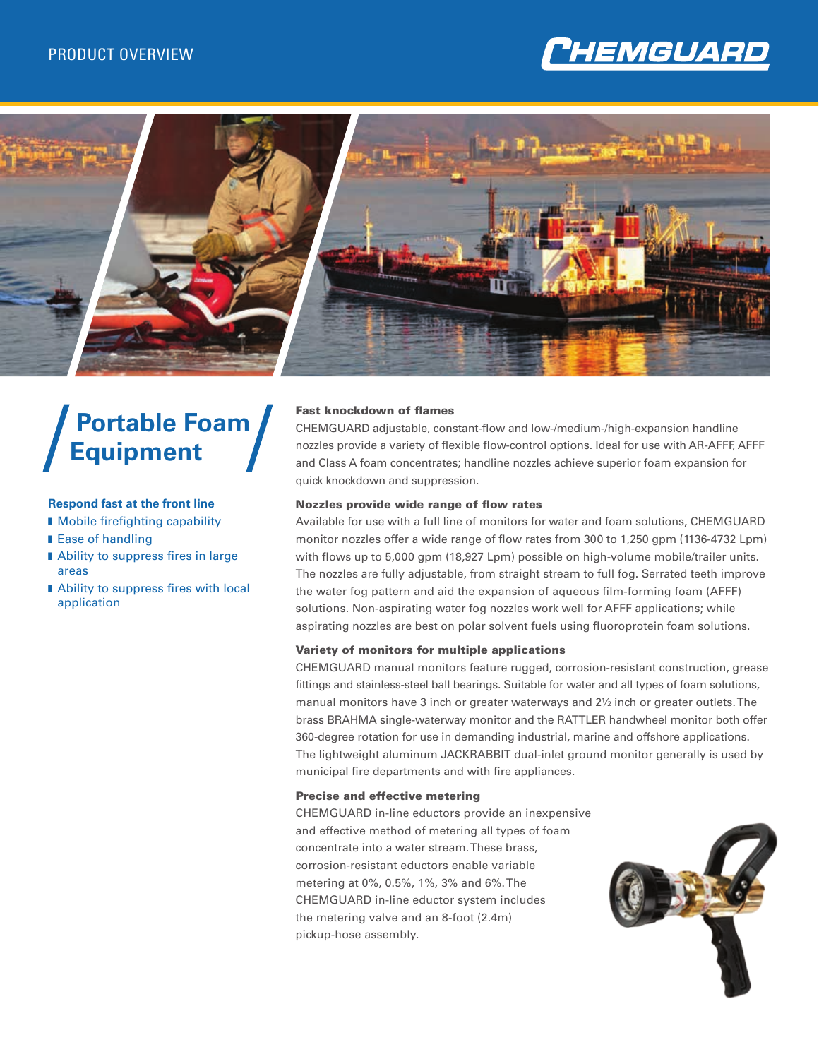



# **Portable Foam Equipment**

# **Respond fast at the front line**

- **n** Mobile firefighting capability
- Ease of handling
- Ability to suppress fires in large areas
- Ability to suppress fires with local application

# Fast knockdown of flames

CHEMGUARD adjustable, constant-flow and low-/medium-/high-expansion handline nozzles provide a variety of flexible flow-control options. Ideal for use with AR-AFFF, AFFF and Class A foam concentrates; handline nozzles achieve superior foam expansion for quick knockdown and suppression.

### Nozzles provide wide range of flow rates

Available for use with a full line of monitors for water and foam solutions, CHEMGUARD monitor nozzles offer a wide range of flow rates from 300 to 1,250 gpm (1136-4732 Lpm) with flows up to 5,000 gpm (18,927 Lpm) possible on high-volume mobile/trailer units. The nozzles are fully adjustable, from straight stream to full fog. Serrated teeth improve the water fog pattern and aid the expansion of aqueous film-forming foam (AFFF) solutions. Non-aspirating water fog nozzles work well for AFFF applications; while aspirating nozzles are best on polar solvent fuels using fluoroprotein foam solutions.

## Variety of monitors for multiple applications

CHEMGUARD manual monitors feature rugged, corrosion-resistant construction, grease fittings and stainless-steel ball bearings. Suitable for water and all types of foam solutions, manual monitors have 3 inch or greater waterways and 2½ inch or greater outlets. The brass BRAHMA single-waterway monitor and the RATTLER handwheel monitor both offer 360-degree rotation for use in demanding industrial, marine and offshore applications. The lightweight aluminum JACKRABBIT dual-inlet ground monitor generally is used by municipal fire departments and with fire appliances.

#### Precise and effective metering

CHEMGUARD in-line eductors provide an inexpensive and effective method of metering all types of foam concentrate into a water stream. These brass, corrosion-resistant eductors enable variable metering at 0%, 0.5%, 1%, 3% and 6%. The CHEMGUARD in-line eductor system includes the metering valve and an 8-foot (2.4m) pickup-hose assembly.